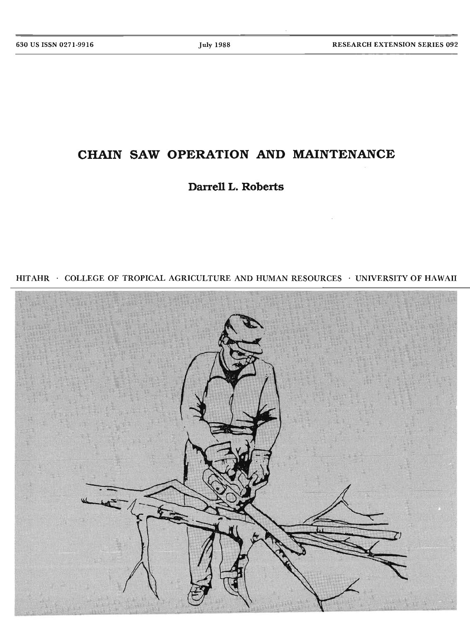# **CHAIN SAW OPERATION AND MAINTENANCE**

**Darrell L. Roberts**



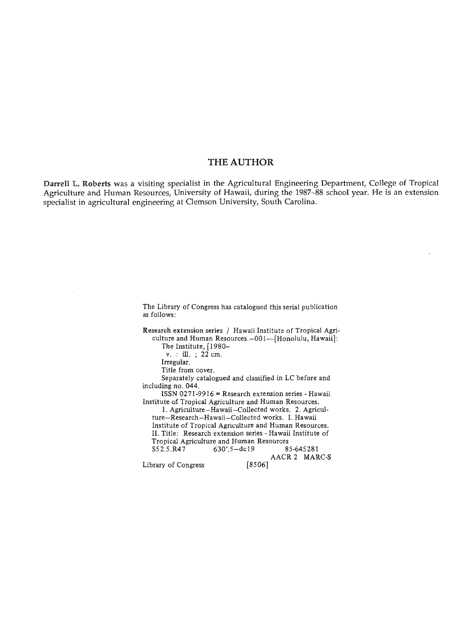# THE AUTHOR

**Darrell L. Roberts** was a visiting specialist in the Agricultural Engineering Department, College of Tropical Agriculture and Human Resources, University of Hawaii, during the 1987-88 school year. He is an extension specialist in agricultural engineering at Clemson University, South Carolina.

> The Library of Congress has catalogued this serial publication as follows:

Research extension series / Hawaii Institute of Tropical Agriculture and Human Resources.-001--[Honolulu, Hawaii]: The Institute, [1980-

 $v.$  : ill. ; 22 cm.

Irregular.

Title from cover.

Separately catalogued and classified in LC before and including no. 044.

ISSN 0271-9916 = Research extension series - Hawaii Institute of Tropical Agriculture and Human Resources.

1. Agriculture-Hawaii-Collected works. 2. Agriculture-Research-Hawaii-Collected works. I. Hawaii Institute of Tropical Agriculture and Human Resources. II. Title: Research extension series - Hawaii Institute of Tropical Agriculture and Human Resources<br>S52.5.R47 630'.5-dc19 85-645281  $630'.5 - dc19$ AACR 2 MARC-S [8506] Library of Congress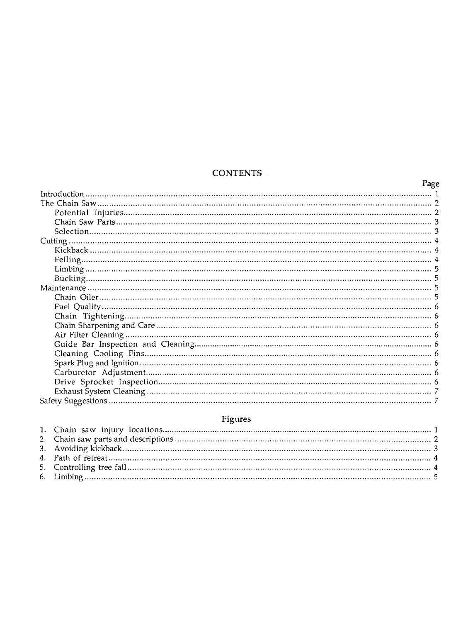# **CONTENTS**

| Page |  |
|------|--|
|      |  |
|      |  |
|      |  |
|      |  |
|      |  |
|      |  |
|      |  |
|      |  |
|      |  |
|      |  |
|      |  |
|      |  |
|      |  |
|      |  |
|      |  |
|      |  |
|      |  |
|      |  |
|      |  |
|      |  |
|      |  |
|      |  |
|      |  |

# Figures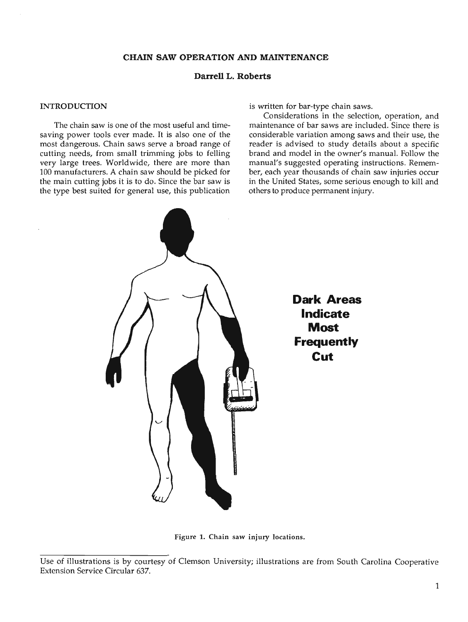# **Darrell L. Roberts**

## INTRODUCTION

The chain saw is one of the most useful and timesaving power tools ever made. It is also one of the most dangerous. Chain saws serve a broad range of cutting needs, from small trimming jobs to felling very large trees. Worldwide, there are more than 100 manufacturers. A chain saw should be picked for the main cutting jobs it is to do. Since the bar saw is the type best suited for general use, this publication

is written for bar-type chain saws.

Considerations in the selection, operation, and maintenance of bar saws are included. Since there is considerable variation among saws and their use, the reader is advised to study details about a specific brand and model in the owner's manual. Follow the manual's suggested operating instructions. Remember, each year thousands of chain saw injuries occur in the United States, some serious enough to kill and others to produce permanent injury.



Figure 1. Chain saw injury locations.

Use of illustrations is by courtesy of Clemson University; illustrations are from South Carolina Cooperative Extension Service Circular 637.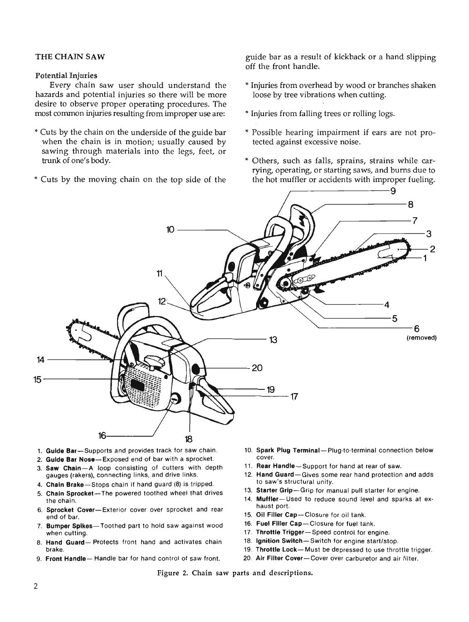# Potential Injuries

Every chain saw user should understand the hazards and potential injuries so there will be more desire to observe proper operating procedures. The most common injuries resulting from improper use are:

- \* Cuts by the chain on the underside of the guide bar when the chain is in motion; usually caused by sawing through materials into the legs, feet, or trunk of one's body.
- \* Cuts by the moving chain on the top side of the

THE CHAIN SAW **guide bar as a result of kickback or a hand slipping** off the front handle.

- \*Injuries from overhead by wood or branches shaken loose by tree vibrations when cutting.
- \*Injuries from falling trees or rolling logs.
- \* Possible hearing impairment if ears are not protected against excessive noise.
- \* Others, such as falls, sprains, strains while carrying, operating, or starting saws, and bums due to the hot muffler or accidents with improper fueling. ~--------9



- 1. Guide Bar-Supports and provides track for saw chain.
- 2. Guide Bar Nose-Exposed end of bar with a sprocket.
- 3. Saw Chaln-A loop consisting of cutters with depth gauges (rakers), connecting links, and drive links.
- 4. Chain Brake-Stops chain if hand guard (8) is tripped.
- 5. Chain Sprocket-The powered toothed wheel that drives the chain.
- 6. Sprocket Cover-Exterior cover over sprocket and rear end of bar.
- 7. Bumper Spikes- Toothed part to hold saw against wood when cutting.
- 8. Hand Guard- Protects front hand and activates chain brake.
- 9. Front Handle-Handle bar for hand control of saw front.
- 10. Spark Plug Terminal- Plug-to-terminal connection below cover.
- 11. Rear Handle-Support for hand at rear of saw.
- 12. Hand Guard-Gives some rear hand protection and adds to saw's structural unity.
- 13. Starter Grip-Grip for manual pull starter for engine.
- 14. Muffler-Used to reduce sound level and sparks at exhaust port.
- 15. Oil Filler Cap--Closure for oil tank.
- 16. Fuel Filler Cap-Closure for fuel tank.
- 17. Throttle Trigger-Speed control for engine.
- 18. Ignition Switch-Switch for engine start/stop.
- 19. Throttle Lock-Must be depressed to use throttle trigger.
- 20. Air Filter Cover-Cover over carburetor and air filter.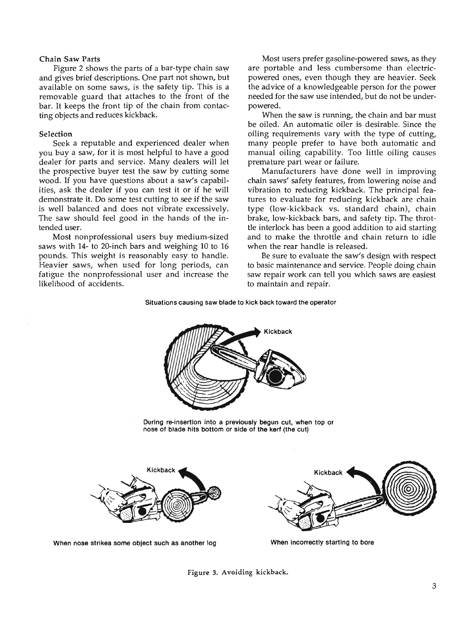## Chain Saw Parts

Figure 2 shows the parts of a bar-type chain saw and gives brief descriptions. One part not shown, but available on some saws, is the safety tip. This is a removable guard that attaches to the front of the bar. It keeps the front tip of the chain from contacting objects and reduces kickback.

#### Selection

Seek a reputable and experienced dealer when you buy a saw, for it is most helpful to have a good dealer for parts and service. Many dealers will let the prospective buyer test the saw by cutting some wood. If you have questions about a saw's capabilities, ask the dealer if you can test it or if he will demonstrate it. Do some test cutting to see if the saw is well balanced and does not vibrate excessively. The saw should feel good in the hands of the intended user.

Most nonprofessional users buy medium-sized saws with 14- to 20-inch bars and weighing 10 to 16 pounds. This weight is reasonably easy to handle. Heavier saws, when used for long periods, can fatigue the nonprofessional user and increase the likelihood of accidents.

Most users prefer gasoline-powered saws, as they are portable and less cumbersome than electricpowered ones, even though they are heavier. Seek the advice of a knowledgeable person for the power needed for the saw use intended, but do not be underpowered.

When the saw is running, the chain and bar must be oiled. An automatic oiler is desirable. Since the oiling requirements vary with the type of cutting, many people prefer to have both automatic and manual oiling capability. Too little oiling causes premature part wear or failure.

Manufacturers have done well in improving chain saws' safety features, from lowering noise and vibration to reducing kickback. The principal features to evaluate for reducing kickback are chain type (low-kickback vs. standard chain), chain brake, low-kickback bars, and safety tip. The throttle interlock has been a good addition to aid starting and to make the throttle and chain return to idle when the rear handle is released.

Be sure to evaluate the saw's design with respect to basic maintenance and service. People doing chain saw repair work can tell you which saws are easiest to maintain and repair.

#### Situations causing saw blade to kick back toward the operator



During re-insertion into a previously begun cut, when top or nose of blade hits bottom or side of the kerf (the cut)



When nose strikes some object such as another log When incorrectly starting to bore

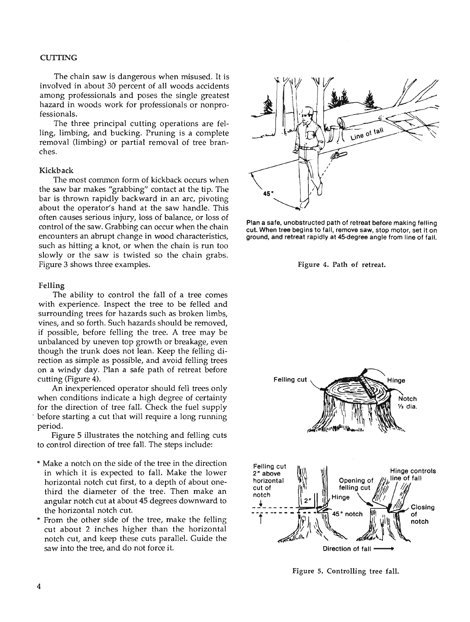### **CUTTING**

The chain saw is dangerous when misused. It is involved in about 30 percent of all woods accidents among professionals and poses the single greatest hazard in woods work for professionals or nonprofessionals.

The three principal cutting operations are felling, limbing, and bucking. Pruning is a complete removal (limbing) or partial removal of tree branches.

#### Kickback

The most common form of kickback occurs when the saw bar makes "grabbing" contact at the tip. The bar is thrown rapidly backward in an arc, pivoting about the operator's hand at the saw handle. This often causes serious injury, loss of balance, or loss of control of the saw. Grabbing can occur when the chain encounters an abrupt change in wood characteristics, such as hitting a knot, or when the chain is run too slowly or the saw is twisted so the chain grabs. Figure 3 shows three examples.

#### Felling

The ability to control the fall of a tree comes with experience. Inspect the tree to be felled and surrounding trees for hazards such as broken limbs, vines, and so forth. Such hazards should be removed, if possible, before felling the tree. A tree may be unbalanced by uneven top growth or breakage, even though the trunk does not lean. Keep the felling direction as simple as possible, and avoid felling trees on a windy day. Plan a safe path of retreat before cutting (Figure 4).

An inexperienced operator should fell trees only when conditions indicate a high degree of certainty for the direction of tree fall. Check the fuel supply before starting a cut that will require a long running period.

Figure 5 illustrates the notching and felling cuts to control direction of tree fall. The steps include:

- \* Make a notch on the side of the tree in the direction in which it is expected to fall. Make the lower horizontal notch cut first, to a depth of about onethird the diameter of the tree. Then make an angular notch cut at about 45 degrees downward to the horizontal notch cut.
- From the other side of the tree, make the felling cut about 2 inches higher than the horizontal notch cut, and keep these cuts parallel. Guide the saw into the tree, and do not force it.



Plan a safe, unobstructed path of retreat before making felling cut. When tree begins to fall, remove saw, stop motor, set it on ground, and retreat rapidly at 45-degree angle from line of fall.





Figure 5. Controlling tree fall.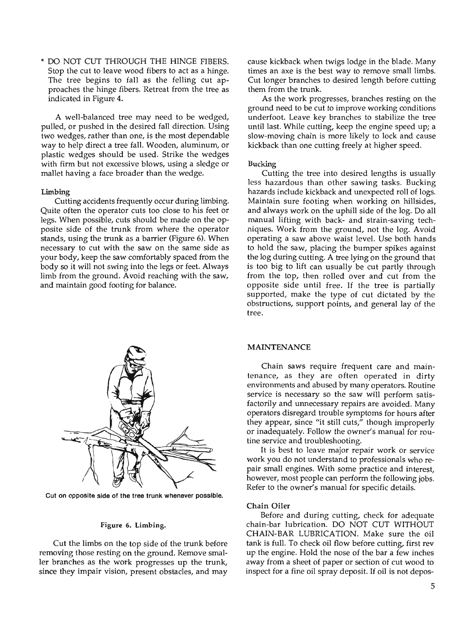>I- DO NOT CUT THROUGH THE HINGE FIBERS. Stop the cut to leave wood fibers to act as a hinge. The tree begins to fall as the felling cut approaches the hinge fibers. Retreat from the tree as indicated in Figure 4.

A well-balanced tree may need to be wedged, pulled, or pushed in the desired fall direction. Using two wedges, rather than one, is the most dependable way to help direct a tree fall. Wooden, aluminum, or plastic wedges should be used. Strike the wedges with firm but not excessive blows, using a sledge or mallet having a face broader than the wedge.

#### Limbing

Cutting accidents frequently occur during limbing. Quite often the operator cuts too close to his feet or legs. When possible, cuts should be made on the opposite side of the trunk from where the operator stands, using the trunk as a barrier (Figure 6). When necessary to cut with the saw on the same side as your body, keep the saw comfortably spaced from the body so it will not swing into the legs or feet. Always limb from the ground. Avoid reaching with the saw, and maintain good footing for balance.



Cut on opposite side of the tree trunk whenever possible.

#### Figure 6. Limbing.

Cut the limbs on the top side of the trunk before removing those resting on the ground. Remove smaller branches as the work progresses up the trunk, since they impair vision, present obstacles, and may cause kickback when twigs lodge in the blade. Many times an axe is the best way to remove small limbs. Cut longer branches to desired length before cutting them from the trunk.

As the work progresses, branches resting on the ground need to be cut to improve working conditions underfoot. Leave key branches to stabilize the tree until last. While cutting, keep the engine speed up; a slow-moving chain is more likely to lock and cause kickback than one cutting freely at higher speed.

#### Bucking

Cutting the tree into desired lengths is usually less hazardous than other sawing tasks. Bucking hazards include kickback and unexpected roll of logs. Maintain sure footing when working on hillsides, and always work on the uphill side of the log. Do all manual lifting with back- and strain-saving techniques. Work from the ground, not the log. Avoid operating a saw above waist level. Use both hands to hold the saw, placing the bumper spikes against the log during cutting. A tree lying on the ground that is too big to lift can usually be cut partly through from the top, then rolled over and cut from the opposite side until free. If the tree is partially supported, make the type of cut dictated by the obstructions, support points, and general lay of the tree.

#### MAINTENANCE

Chain saws require frequent care and maintenance, as they are often operated in dirty environments and abused by many operators. Routine service is necessary so the saw will perform satisfactorily and unnecessary repairs are avoided. Many operators disregard trouble symptoms for hours after they appear, since "it still cuts," though improperly or inadequately. Follow the owner's manual for routine service and troubleshooting.

It is best to leave major repair work or service work you do not understand to professionals who repair small engines. With some practice and interest, however, most people can perform the following jobs. Refer to the owner's manual for specific details.

### Chain Oiler

Before and during cutting, check for adequate chain-bar lubrication. DO NOT CUT WITHOUT CHAIN-BAR LUBRICATION. Make sure the oil tank is full. To check oil flow before cutting, first rev up the engine. Hold the nose of the bar a few inches away from a sheet of paper or section of cut wood to inspect for a fine oil spray deposit. If oil is not depos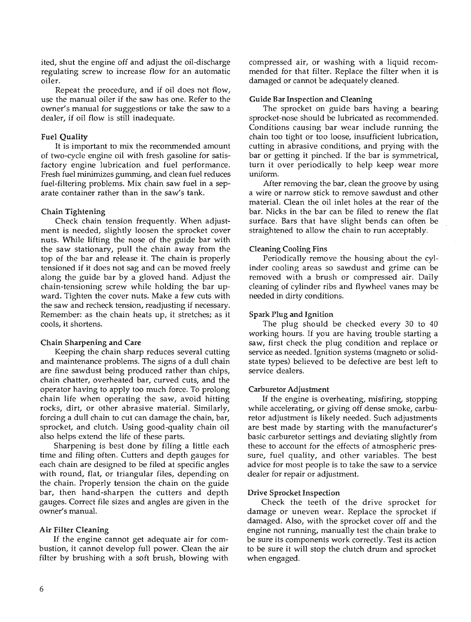ited, shut the engine off and adjust the oil-discharge regulating screw to increase flow for an automatic oiler.

Repeat the procedure, and if oil does not flow, use the manual oiler if the saw has one. Refer to the owner's manual for suggestions or take the saw to a dealer, if oil flow is still inadequate.

# Fuel Quality

It is important to mix the recommended amount of two-cycle engine oil with fresh gasoline for satisfactory engine lubrication and fuel performance. Fresh fuel minimizes gumming, and clean fuel reduces fuel-filtering problems. Mix chain saw fuel in a separate container rather than in the saw's tank.

# Chain Tightening

Check chain tension frequently. When adjustment is needed, slightly loosen the sprocket cover nuts. While lifting the nose of the guide bar with the saw stationary, pull the chain away from the top of the bar and release it. The chain is properly tensioned if it does not sag and can be moved freely along the guide bar by a gloved hand. Adjust the chain-tensioning screw while holding the bar upward. Tighten the cover nuts. Make a few cuts with the saw and recheck tension, readjusting if necessary. Remember: as the chain heats up, it stretches; as it cools, it shortens.

# Chain Sharpening and Care

Keeping the chain sharp reduces several cutting and maintenance problems. The signs of a dull chain are fine sawdust being produced rather than chips, chain chatter, overheated bar, curved cuts, and the operator having to apply too much force. To prolong chain life when operating the saw, avoid hitting rocks, dirt, or other abrasive material. Similarly, forcing a dull chain to cut can damage the chain, bar, sprocket, and clutch. Using good-quality chain oil also helps extend the life of these parts.

Sharpening is best done by filing a little each time and filing often. Cutters and depth gauges for each chain are designed to be filed at specific angles with round, flat, or triangular files, depending on the chain. Properly tension the chain on the guide bar, then hand-sharpen the cutters and depth gauges. Correct file sizes and angles are given in the owner's manual.

# Air Filter Cleaning

If the engine cannot get adequate air for combustion, it cannot develop full power. Clean the air filter by brushing with a soft brush, blowing with compressed air, or washing with a liquid recommended for that filter. Replace the filter when it is damaged or cannot be adequately cleaned.

# Guide Bar Inspection and Cleaning

The sprocket on guide bars having a bearing sprocket-nose should be lubricated as recommended. Conditions causing bar wear include running the chain too tight or too loose, insufficient lubrication, cutting in abrasive conditions, and prying with the bar or getting it pinched. If the bar is symmetrical, turn it over periodically to help keep wear more uniform.

*Mter* removing the bar, clean the groove by using a wire or narrow stick to remove sawdust and other material. Clean the oil inlet holes at the rear of the bar. Nicks in the bar can be filed to renew the flat surface. Bars that have slight bends can often be straightened to allow the chain to run acceptably.

# Cleaning Cooling Fins

Periodically remove the housing about the cylinder cooling areas so sawdust and grime can be removed with a brush or compressed air. Daily cleaning of cylinder ribs and flywheel vanes may be needed in dirty conditions.

# Spark Plug and Ignition

The plug should be checked every 30 to 40 working hours. If you are having trouble starting a saw, first check the plug condition and replace or service as needed. Ignition systems (magneto or solidstate types) believed to be defective are best left to service dealers.

# Carburetor Adjustment

If the engine is overheating, misfiring, stopping while accelerating, or giving off dense smoke, carburetor adjustment is likely needed. Such adjustments are best made by starting with the manufacturer's basic carburetor settings and deviating slightly from these to account for the effects of atmospheric pressure, fuel quality, and other variables. The best advice for most people is to take the saw to a service dealer for repair or adjustment.

# Drive Sprocket Inspection

Check the teeth of the drive sprocket for damage or uneven wear. Replace the sprocket if damaged. Also, with the sprocket cover off and the engine not running, manually test the chain brake to be sure its components work correctly. Test its action to be sure it will stop the clutch drum and sprocket when engaged.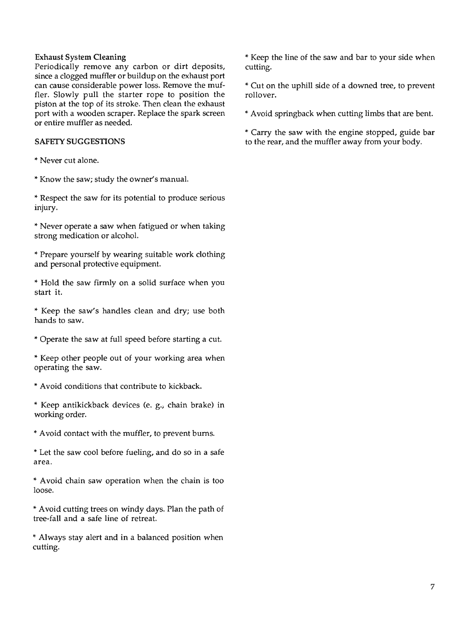# Exhaust System Cleaning

Periodically remove any carbon or dirt deposits, since a clogged muffler or buildup on the exhaust port can cause considerable power loss. Remove the muffler. Slowly pull the starter rope to position the piston at the top of its stroke. Then clean the exhaust port with a wooden scraper. Replace the spark screen or entire muffler as needed.

# SAFETY SUGGESTIONS

- \* Never cut alone.
- \* Know the saw; study the owner's manual.

\* Respect the saw for its potential to produce serious injury.

\* Never operate a saw when fatigued or when taking strong medication or alcohol.

\* Prepare yourself by wearing suitable work clothing and personal protective equipment.

\* Hold the saw firmly on a solid surface when you start it.

\* Keep the saw's handles clean and dry; use both hands to saw.

\* Operate the saw at full speed before starting a cut.

\* Keep other people out of your working area when operating the saw.

\* Avoid conditions that contribute to kickback.

\* Keep antikickback devices (e. g.; chain brake) in working order.

\* Avoid contact with the muffler, to prevent bums.

\* Let the saw cool before fueling, and do so in a safe area.

\* Avoid chain saw operation when the chain is too loose.

\* Avoid cutting trees on windy days. Plan the path of tree-fall and a safe line of retreat.

\* Always stay alert and in a balanced position when cutting.

\* Keep the line of the saw and bar to your side when cutting.

\* Cut on the uphill side of a downed tree, to prevent rollover.

\* Avoid springback when cutting limbs that are bent.

\* Carry the saw with the engine stopped, guide bar to the rear, and the muffler away from your body.